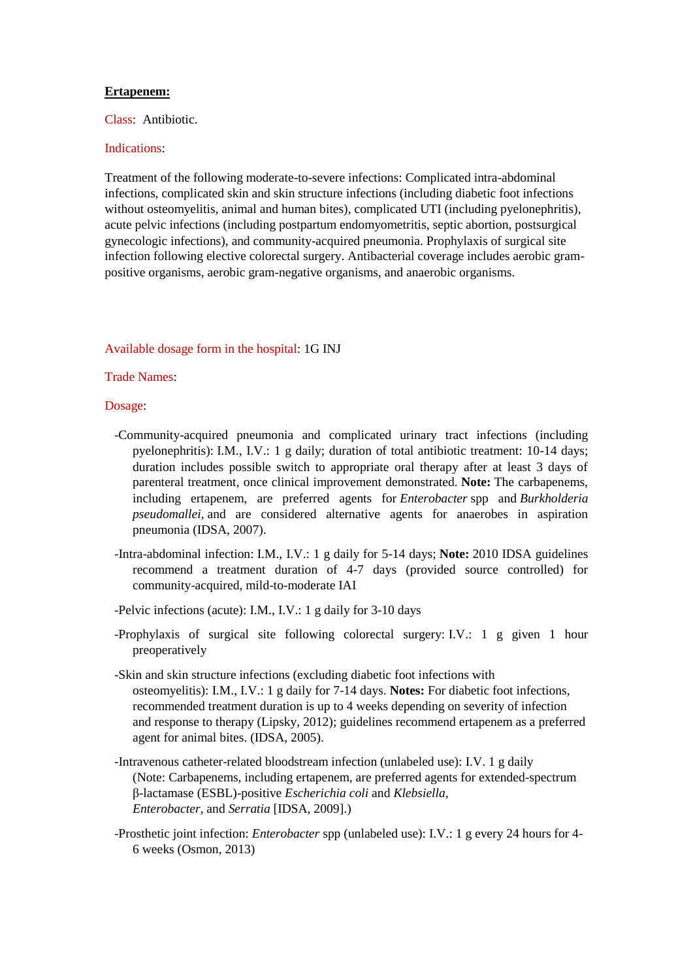## **Ertapenem:**

Class: Antibiotic.

## Indications:

Treatment of the following moderate-to-severe infections: Complicated intra-abdominal infections, complicated skin and skin structure infections (including diabetic foot infections without osteomyelitis, animal and human bites), complicated UTI (including pyelonephritis), acute pelvic infections (including postpartum endomyometritis, septic abortion, postsurgical gynecologic infections), and community-acquired pneumonia. Prophylaxis of surgical site infection following elective colorectal surgery. Antibacterial coverage includes aerobic grampositive organisms, aerobic gram-negative organisms, and anaerobic organisms.

## Available dosage form in the hospital: 1G INJ

Trade Names:

Dosage:

- -Community-acquired pneumonia and complicated urinary tract infections (including pyelonephritis): I.M., I.V.: 1 g daily; duration of total antibiotic treatment: 10-14 days; duration includes possible switch to appropriate oral therapy after at least 3 days of parenteral treatment, once clinical improvement demonstrated. **Note:** The carbapenems, including ertapenem, are preferred agents for *Enterobacter* spp and *Burkholderia pseudomallei,* and are considered alternative agents for anaerobes in aspiration pneumonia (IDSA, 2007).
- -Intra-abdominal infection: I.M., I.V.: 1 g daily for 5-14 days; **Note:** 2010 IDSA guidelines recommend a treatment duration of 4-7 days (provided source controlled) for community-acquired, mild-to-moderate IAI
- -Pelvic infections (acute): I.M., I.V.: 1 g daily for 3-10 days
- -Prophylaxis of surgical site following colorectal surgery: I.V.: 1 g given 1 hour preoperatively
- -Skin and skin structure infections (excluding diabetic foot infections with osteomyelitis): I.M., I.V.: 1 g daily for 7-14 days. **Notes:** For diabetic foot infections, recommended treatment duration is up to 4 weeks depending on severity of infection and response to therapy (Lipsky, 2012); guidelines recommend ertapenem as a preferred agent for animal bites. (IDSA, 2005).
- -Intravenous catheter-related bloodstream infection (unlabeled use): I.V. 1 g daily (Note: Carbapenems, including ertapenem, are preferred agents for extended-spectrum β-lactamase (ESBL)-positive *Escherichia coli* and *Klebsiella, Enterobacter,* and *Serratia* [IDSA, 2009].)
- -Prosthetic joint infection: *Enterobacter* spp (unlabeled use): I.V.: 1 g every 24 hours for 4- 6 weeks (Osmon, 2013)